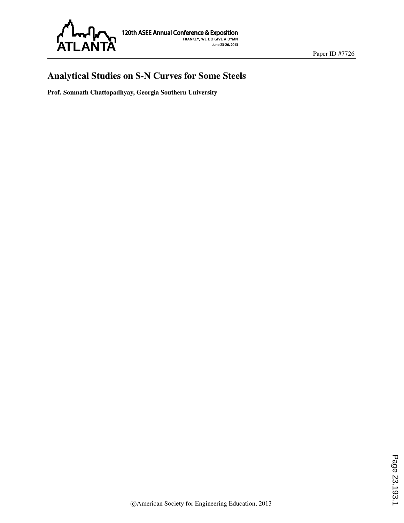

# Analytical Studies on S-N Curves for Some Steels

Prof. Somnath Chattopadhyay, Georgia Southern University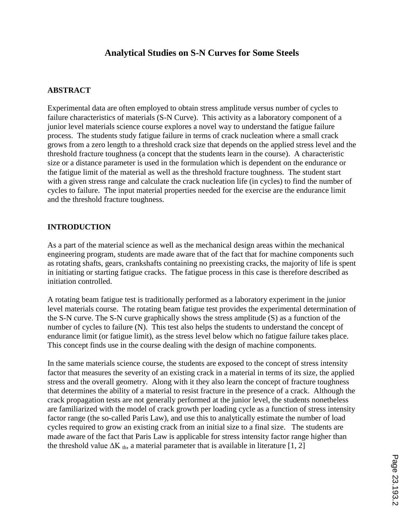# **Analytical Studies on S-N Curves for Some Steels**

### **ABSTRACT**

Experimental data are often employed to obtain stress amplitude versus number of cycles to failure characteristics of materials (S-N Curve). This activity as a laboratory component of a junior level materials science course explores a novel way to understand the fatigue failure process. The students study fatigue failure in terms of crack nucleation where a small crack grows from a zero length to a threshold crack size that depends on the applied stress level and the threshold fracture toughness (a concept that the students learn in the course). A characteristic size or a distance parameter is used in the formulation which is dependent on the endurance or the fatigue limit of the material as well as the threshold fracture toughness. The student start with a given stress range and calculate the crack nucleation life (in cycles) to find the number of cycles to failure. The input material properties needed for the exercise are the endurance limit and the threshold fracture toughness.

### **INTRODUCTION**

As a part of the material science as well as the mechanical design areas within the mechanical engineering program, students are made aware that of the fact that for machine components such as rotating shafts, gears, crankshafts containing no preexisting cracks, the majority of life is spent in initiating or starting fatigue cracks. The fatigue process in this case is therefore described as initiation controlled.

A rotating beam fatigue test is traditionally performed as a laboratory experiment in the junior level materials course. The rotating beam fatigue test provides the experimental determination of the S-N curve. The S-N curve graphically shows the stress amplitude (S) as a function of the number of cycles to failure (N). This test also helps the students to understand the concept of endurance limit (or fatigue limit), as the stress level below which no fatigue failure takes place. This concept finds use in the course dealing with the design of machine components.

In the same materials science course, the students are exposed to the concept of stress intensity factor that measures the severity of an existing crack in a material in terms of its size, the applied stress and the overall geometry. Along with it they also learn the concept of fracture toughness that determines the ability of a material to resist fracture in the presence of a crack. Although the crack propagation tests are not generally performed at the junior level, the students nonetheless are familiarized with the model of crack growth per loading cycle as a function of stress intensity factor range (the so-called Paris Law), and use this to analytically estimate the number of load cycles required to grow an existing crack from an initial size to a final size. The students are made aware of the fact that Paris Law is applicable for stress intensity factor range higher than the threshold value  $\Delta K_{th}$ , a material parameter that is available in literature [1, 2]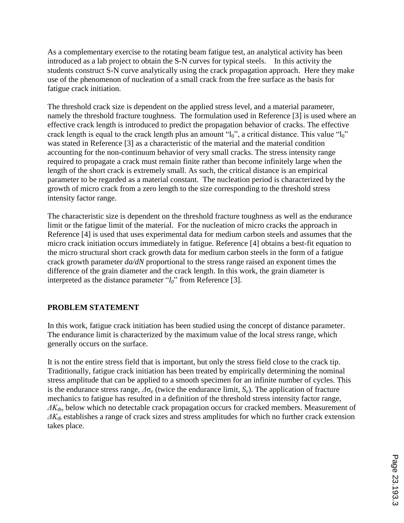As a complementary exercise to the rotating beam fatigue test, an analytical activity has been introduced as a lab project to obtain the S-N curves for typical steels. In this activity the students construct S-N curve analytically using the crack propagation approach. Here they make use of the phenomenon of nucleation of a small crack from the free surface as the basis for fatigue crack initiation.

The threshold crack size is dependent on the applied stress level, and a material parameter, namely the threshold fracture toughness. The formulation used in Reference [3] is used where an effective crack length is introduced to predict the propagation behavior of cracks. The effective crack length is equal to the crack length plus an amount "l<sub>0</sub>", a critical distance. This value "l<sub>0</sub>" was stated in Reference [3] as a characteristic of the material and the material condition accounting for the non-continuum behavior of very small cracks. The stress intensity range required to propagate a crack must remain finite rather than become infinitely large when the length of the short crack is extremely small. As such, the critical distance is an empirical parameter to be regarded as a material constant. The nucleation period is characterized by the growth of micro crack from a zero length to the size corresponding to the threshold stress intensity factor range.

The characteristic size is dependent on the threshold fracture toughness as well as the endurance limit or the fatigue limit of the material. For the nucleation of micro cracks the approach in Reference [4] is used that uses experimental data for medium carbon steels and assumes that the micro crack initiation occurs immediately in fatigue. Reference [4] obtains a best-fit equation to the micro structural short crack growth data for medium carbon steels in the form of a fatigue crack growth parameter *da/dN* proportional to the stress range raised an exponent times the difference of the grain diameter and the crack length. In this work, the grain diameter is interpreted as the distance parameter "*l0*" from Reference [3].

## **PROBLEM STATEMENT**

In this work, fatigue crack initiation has been studied using the concept of distance parameter. The endurance limit is characterized by the maximum value of the local stress range, which generally occurs on the surface.

It is not the entire stress field that is important, but only the stress field close to the crack tip. Traditionally, fatigue crack initiation has been treated by empirically determining the nominal stress amplitude that can be applied to a smooth specimen for an infinite number of cycles. This is the endurance stress range, *Δ*σ*<sup>e</sup>* (twice the endurance limit, *Se*). The application of fracture mechanics to fatigue has resulted in a definition of the threshold stress intensity factor range, *ΔKth*, below which no detectable crack propagation occurs for cracked members. Measurement of *ΔKth* establishes a range of crack sizes and stress amplitudes for which no further crack extension takes place.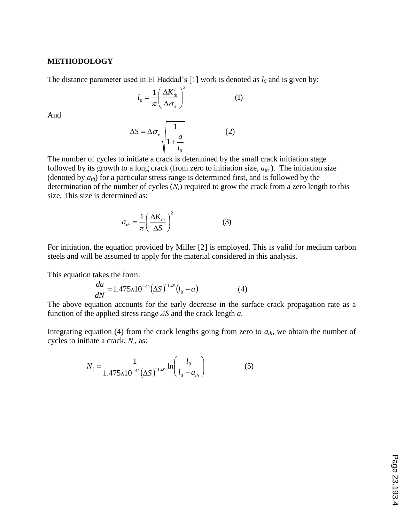#### **METHODOLOGY**

The distance parameter used in El Haddad's [1] work is denoted as *l<sup>0</sup>* and is given by:

$$
l_0 = \frac{1}{\pi} \left( \frac{\Delta K_{th}^l}{\Delta \sigma_e} \right)^2 \tag{1}
$$

And

$$
\Delta S = \Delta \sigma_e \sqrt{\frac{1}{1 + \frac{a}{l_o}}} \tag{2}
$$

The number of cycles to initiate a crack is determined by the small crack initiation stage followed by its growth to a long crack (from zero to initiation size,  $a_{th}$ ). The initiation size (denoted by *ath*) for a particular stress range is determined first, and is followed by the determination of the number of cycles (*Ni*) required to grow the crack from a zero length to this size. This size is determined as:

$$
a_{th} = \frac{1}{\pi} \left( \frac{\Delta K_{th}}{\Delta S} \right)^2 \tag{3}
$$

For initiation, the equation provided by Miller [2] is employed. This is valid for medium carbon steels and will be assumed to apply for the material considered in this analysis.

This equation takes the form:

$$
\frac{da}{dN} = 1.475x10^{-41}(\Delta S)^{11.49}(l_0 - a)
$$
 (4)

The above equation accounts for the early decrease in the surface crack propagation rate as a function of the applied stress range *ΔS* and the crack length *a*.

Integrating equation (4) from the crack lengths going from zero to *ath*, we obtain the number of cycles to initiate a crack, *N<sup>i</sup>* , as:

$$
N_{i} = \frac{1}{1.475x10^{-4}} \ln \left( \frac{l_{0}}{l_{0} - a_{th}} \right)
$$
 (5)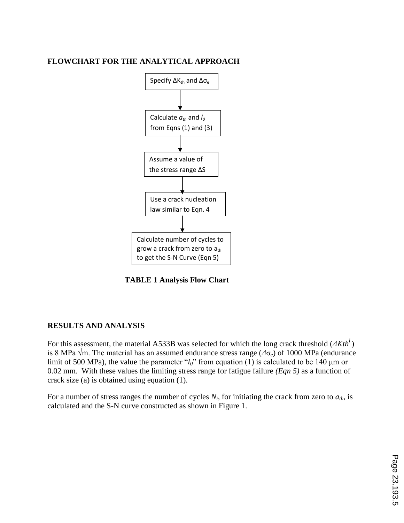### **FLOWCHART FOR THE ANALYTICAL APPROACH**



 **TABLE 1 Analysis Flow Chart**

## **RESULTS AND ANALYSIS**

For this assessment, the material A533B was selected for which the long crack threshold (*ΔKth<sup>l</sup>*) is 8 MPa √m. The material has an assumed endurance stress range (*Δ*σ*e*) of 1000 MPa (endurance limit of 500 MPa), the value the parameter "*l0*" from equation (1) is calculated to be 140 μm or 0.02 mm. With these values the limiting stress range for fatigue failure *(Eqn 5)* as a function of crack size (a) is obtained using equation (1).

For a number of stress ranges the number of cycles  $N_i$ , for initiating the crack from zero to  $a_{th}$ , is calculated and the S-N curve constructed as shown in Figure 1.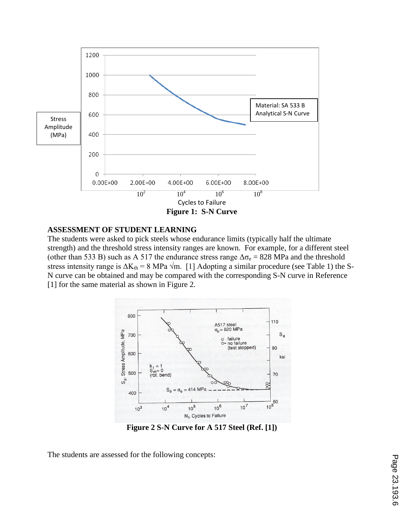

### **ASSESSMENT OF STUDENT LEARNING**

The students were asked to pick steels whose endurance limits (typically half the ultimate strength) and the threshold stress intensity ranges are known. For example, for a different steel (other than 533 B) such as A 517 the endurance stress range  $\Delta \sigma_e = 828$  MPa and the threshold stress intensity range is  $\Delta K_{th} = 8$  MPa  $\sqrt{m}$ . [1] Adopting a similar procedure (see Table 1) the S-N curve can be obtained and may be compared with the corresponding S-N curve in Reference [1] for the same material as shown in Figure 2.



**Figure 2 S-N Curve for A 517 Steel (Ref. [1])**

The students are assessed for the following concepts: